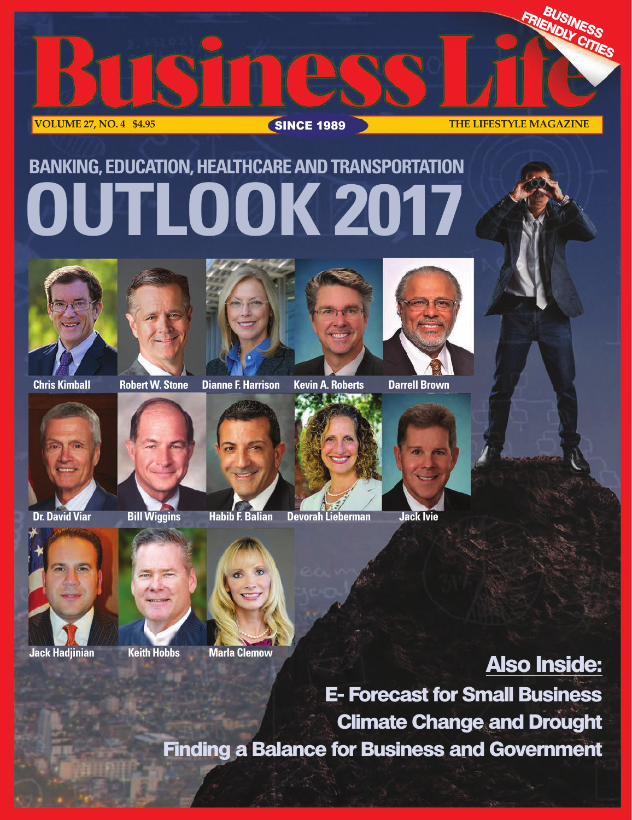

# **BANKING, EDUCATION, HEALTHCARE AND TRANSPORTATION OUTLOOK 2017**





**Chris Kimball Robert W. Stone Dianne F. Harrison Kevin A. Roberts Darrell Brown**





**Dr. David Viar Bill Wiggins Habib F. Balian Devorah Lieberman Jack Ivie**





**Also Inside:**

**E- Forecast for Small Business Climate Change and Drought Finding a Balance for Business and Government**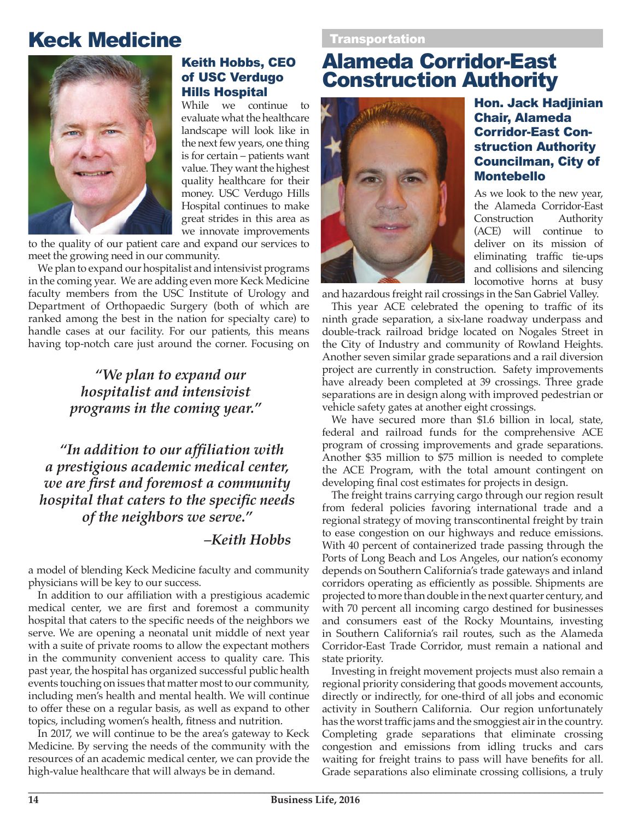## Keck Medicine



#### Keith Hobbs, CEO of USC Verdugo Hills Hospital

While we continue to evaluate what the healthcare landscape will look like in the next few years, one thing is for certain – patients want value. They want the highest quality healthcare for their money. USC Verdugo Hills Hospital continues to make great strides in this area as we innovate improvements

to the quality of our patient care and expand our services to meet the growing need in our community.

We plan to expand our hospitalist and intensivist programs in the coming year. We are adding even more Keck Medicine faculty members from the USC Institute of Urology and Department of Orthopaedic Surgery (both of which are ranked among the best in the nation for specialty care) to handle cases at our facility. For our patients, this means having top-notch care just around the corner. Focusing on

### *"We plan to expand our hospitalist and intensivist programs in the coming year."*

*"In addition to our affiliation with a prestigious academic medical center, we are first and foremost a community hospital that caters to the specific needs of the neighbors we serve."* 

#### *–Keith Hobbs*

a model of blending Keck Medicine faculty and community physicians will be key to our success.

In addition to our affiliation with a prestigious academic medical center, we are first and foremost a community hospital that caters to the specific needs of the neighbors we serve. We are opening a neonatal unit middle of next year with a suite of private rooms to allow the expectant mothers in the community convenient access to quality care. This past year, the hospital has organized successful public health events touching on issues that matter most to our community, including men's health and mental health. We will continue to offer these on a regular basis, as well as expand to other topics, including women's health, fitness and nutrition.

In 2017, we will continue to be the area's gateway to Keck Medicine. By serving the needs of the community with the resources of an academic medical center, we can provide the high-value healthcare that will always be in demand.

## Alameda Corridor-East Construction Authority



#### Hon. Jack Hadjinian Chair, Alameda Corridor-East Construction Authority Councilman, City of Montebello

As we look to the new year, the Alameda Corridor-East Construction Authority (ACE) will continue to deliver on its mission of eliminating traffic tie-ups and collisions and silencing locomotive horns at busy

and hazardous freight rail crossings in the San Gabriel Valley.

This year ACE celebrated the opening to traffic of its ninth grade separation, a six-lane roadway underpass and double-track railroad bridge located on Nogales Street in the City of Industry and community of Rowland Heights. Another seven similar grade separations and a rail diversion project are currently in construction. Safety improvements have already been completed at 39 crossings. Three grade separations are in design along with improved pedestrian or vehicle safety gates at another eight crossings.

We have secured more than \$1.6 billion in local, state, federal and railroad funds for the comprehensive ACE program of crossing improvements and grade separations. Another \$35 million to \$75 million is needed to complete the ACE Program, with the total amount contingent on developing final cost estimates for projects in design.

The freight trains carrying cargo through our region result from federal policies favoring international trade and a regional strategy of moving transcontinental freight by train to ease congestion on our highways and reduce emissions. With 40 percent of containerized trade passing through the Ports of Long Beach and Los Angeles, our nation's economy depends on Southern California's trade gateways and inland corridors operating as efficiently as possible. Shipments are projected to more than double in the next quarter century, and with 70 percent all incoming cargo destined for businesses and consumers east of the Rocky Mountains, investing in Southern California's rail routes, such as the Alameda Corridor-East Trade Corridor, must remain a national and state priority.

Investing in freight movement projects must also remain a regional priority considering that goods movement accounts, directly or indirectly, for one-third of all jobs and economic activity in Southern California. Our region unfortunately has the worst traffic jams and the smoggiest air in the country. Completing grade separations that eliminate crossing congestion and emissions from idling trucks and cars waiting for freight trains to pass will have benefits for all. Grade separations also eliminate crossing collisions, a truly